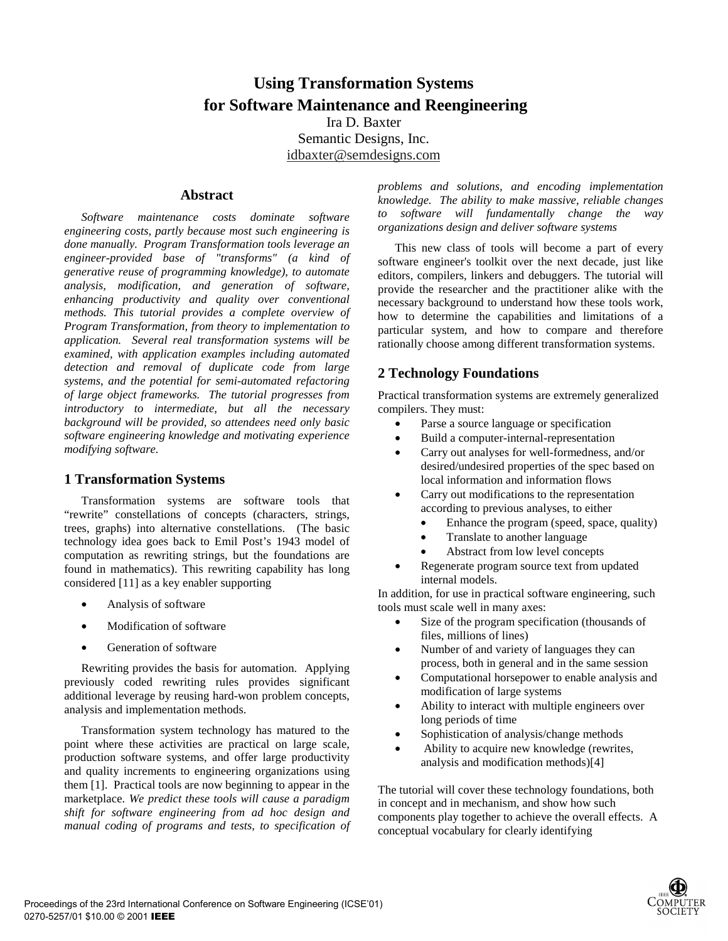# **Using Transformation Systems for Software Maintenance and Reengineering**

Ira D. Baxter Semantic Designs, Inc. idbaxter@semdesigns.com

#### **Abstract**

*Software maintenance costs dominate software engineering costs, partly because most such engineering is done manually. Program Transformation tools leverage an engineer-provided base of "transforms" (a kind of generative reuse of programming knowledge), to automate analysis, modification, and generation of software, enhancing productivity and quality over conventional methods. This tutorial provides a complete overview of Program Transformation, from theory to implementation to application. Several real transformation systems will be examined, with application examples including automated detection and removal of duplicate code from large systems, and the potential for semi-automated refactoring of large object frameworks. The tutorial progresses from introductory to intermediate, but all the necessary background will be provided, so attendees need only basic software engineering knowledge and motivating experience modifying software.*

#### **1 Transformation Systems**

Transformation systems are software tools that "rewrite" constellations of concepts (characters, strings, trees, graphs) into alternative constellations. (The basic technology idea goes back to Emil Post's 1943 model of computation as rewriting strings, but the foundations are found in mathematics). This rewriting capability has long considered [11] as a key enabler supporting

- Analysis of software
- Modification of software
- Generation of software

Rewriting provides the basis for automation. Applying previously coded rewriting rules provides significant additional leverage by reusing hard-won problem concepts, analysis and implementation methods.

Transformation system technology has matured to the point where these activities are practical on large scale, production software systems, and offer large productivity and quality increments to engineering organizations using them [1]. Practical tools are now beginning to appear in the marketplace. *We predict these tools will cause a paradigm shift for software engineering from ad hoc design and manual coding of programs and tests, to specification of* *problems and solutions, and encoding implementation knowledge. The ability to make massive, reliable changes to software will fundamentally change the way organizations design and deliver software systems*

This new class of tools will become a part of every software engineer's toolkit over the next decade, just like editors, compilers, linkers and debuggers. The tutorial will provide the researcher and the practitioner alike with the necessary background to understand how these tools work, how to determine the capabilities and limitations of a particular system, and how to compare and therefore rationally choose among different transformation systems.

### **2 Technology Foundations**

Practical transformation systems are extremely generalized compilers. They must:

- Parse a source language or specification
- Build a computer-internal-representation
- Carry out analyses for well-formedness, and/or desired/undesired properties of the spec based on local information and information flows
- Carry out modifications to the representation according to previous analyses, to either
	- Enhance the program (speed, space, quality)
	- Translate to another language
	- Abstract from low level concepts
- Regenerate program source text from updated internal models.

In addition, for use in practical software engineering, such tools must scale well in many axes:

- Size of the program specification (thousands of files, millions of lines)
- Number of and variety of languages they can process, both in general and in the same session
- Computational horsepower to enable analysis and modification of large systems
- Ability to interact with multiple engineers over long periods of time
- Sophistication of analysis/change methods
- Ability to acquire new knowledge (rewrites, analysis and modification methods)[4]

The tutorial will cover these technology foundations, both in concept and in mechanism, and show how such components play together to achieve the overall effects. A conceptual vocabulary for clearly identifying